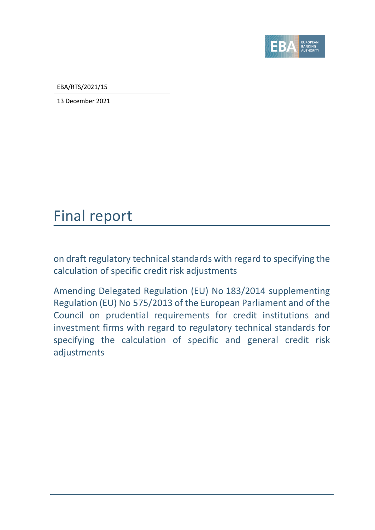

EBA/RTS/2021/15

13 December 2021

## Final report

on draft regulatory technical standards with regard to specifying the calculation of specific credit risk adjustments

Amending Delegated Regulation (EU) No 183/2014 supplementing Regulation (EU) No 575/2013 of the European Parliament and of the Council on prudential requirements for credit institutions and investment firms with regard to regulatory technical standards for specifying the calculation of specific and general credit risk adjustments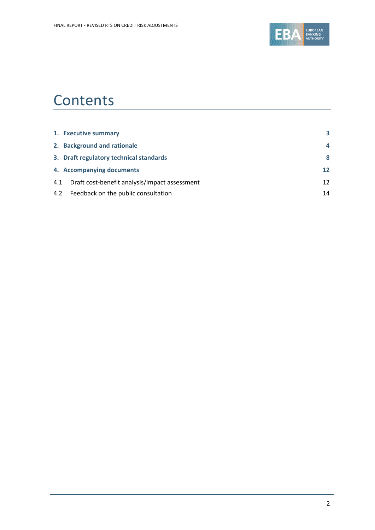

## **Contents**

|     | 1. Executive summary                          | 3                 |
|-----|-----------------------------------------------|-------------------|
|     | 2. Background and rationale                   | 4                 |
|     | 3. Draft regulatory technical standards       | 8                 |
|     | 4. Accompanying documents                     | $12 \ \mathrm{ }$ |
| 4.1 | Draft cost-benefit analysis/impact assessment | 12                |
|     | 4.2 Feedback on the public consultation       | 14                |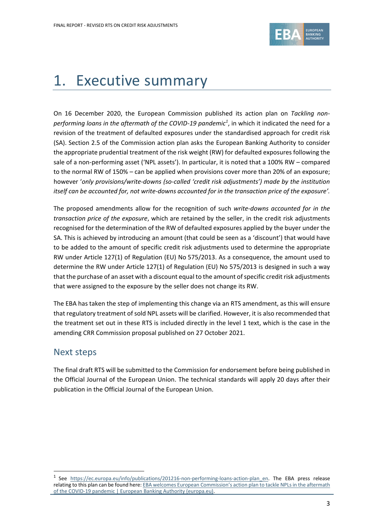

# <span id="page-2-0"></span>1. Executive summary

On 16 December 2020, the European Commission published its action plan on *Tackling nonperforming loans in the aftermath of the COVID-19 pandemic<sup>1</sup>* , in which it indicated the need for a revision of the treatment of defaulted exposures under the standardised approach for credit risk (SA). Section 2.5 of the Commission action plan asks the European Banking Authority to consider the appropriate prudential treatment of the risk weight (RW) for defaulted exposures following the sale of a non-performing asset ('NPL assets'). In particular, it is noted that a 100% RW – compared to the normal RW of 150% – can be applied when provisions cover more than 20% of an exposure; however '*only provisions/write-downs (so-called 'credit risk adjustments') made by the institution itself can be accounted for, not write-downs accounted for in the transaction price of the exposure'.* 

The proposed amendments allow for the recognition of such *write-downs accounted for in the transaction price of the exposure*, which are retained by the seller, in the credit risk adjustments recognised for the determination of the RW of defaulted exposures applied by the buyer under the SA. This is achieved by introducing an amount (that could be seen as a 'discount') that would have to be added to the amount of specific credit risk adjustments used to determine the appropriate RW under Article 127(1) of Regulation (EU) No 575/2013. As a consequence, the amount used to determine the RW under Article 127(1) of Regulation (EU) No 575/2013 is designed in such a way that the purchase of an asset with a discount equal to the amount of specific credit risk adjustments that were assigned to the exposure by the seller does not change its RW.

The EBA has taken the step of implementing this change via an RTS amendment, as this will ensure that regulatory treatment of sold NPL assets will be clarified. However, it is also recommended that the treatment set out in these RTS is included directly in the level 1 text, which is the case in the amending CRR Commission proposal published on 27 October 2021.

## Next steps

The final draft RTS will be submitted to the Commission for endorsement before being published in the Official Journal of the European Union. The technical standards will apply 20 days after their publication in the Official Journal of the European Union.

<sup>&</sup>lt;sup>1</sup> See https://ec.europa.eu/info/publications/201216-non-performing-loans-action-plan en. The EBA press release relating to this plan can be found here: EBA welcomes European Commission's action plan to tackle NPLs in the aftermath [of the COVID-19 pandemic | European Banking Authority \(europa.eu\).](https://www.eba.europa.eu/eba-welcomes-european-commission%E2%80%99s-action-plan-tackle-npls-aftermath-covid-19-pandemic)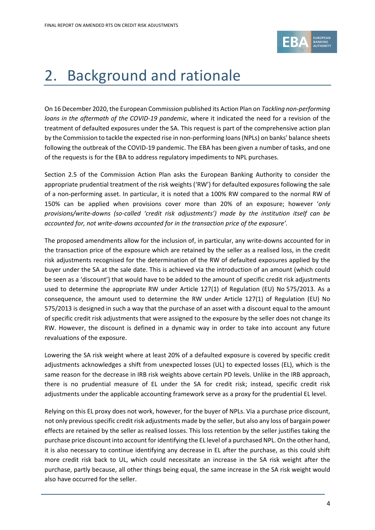

# <span id="page-3-0"></span>2. Background and rationale

On 16 December 2020, the European Commission published its Action Plan on *Tackling non-performing loans in the aftermath of the COVID-19 pandemic*, where it indicated the need for a revision of the treatment of defaulted exposures under the SA. This request is part of the comprehensive action plan by the Commission to tackle the expected rise in non-performing loans (NPLs) on banks' balance sheets following the outbreak of the COVID-19 pandemic. The EBA has been given a number of tasks, and one of the requests is for the EBA to address regulatory impediments to NPL purchases.

Section 2.5 of the Commission Action Plan asks the European Banking Authority to consider the appropriate prudential treatment of the risk weights ('RW') for defaulted exposures following the sale of a non-performing asset. In particular, it is noted that a 100% RW compared to the normal RW of 150% can be applied when provisions cover more than 20% of an exposure; however '*only provisions/write-downs (so-called 'credit risk adjustments') made by the institution itself can be accounted for, not write-downs accounted for in the transaction price of the exposure'.* 

The proposed amendments allow for the inclusion of, in particular, any write-downs accounted for in the transaction price of the exposure which are retained by the seller as a realised loss, in the credit risk adjustments recognised for the determination of the RW of defaulted exposures applied by the buyer under the SA at the sale date. This is achieved via the introduction of an amount (which could be seen as a 'discount') that would have to be added to the amount of specific credit risk adjustments used to determine the appropriate RW under Article 127(1) of Regulation (EU) No 575/2013. As a consequence, the amount used to determine the RW under Article 127(1) of Regulation (EU) No 575/2013 is designed in such a way that the purchase of an asset with a discount equal to the amount of specific credit risk adjustments that were assigned to the exposure by the seller does not change its RW. However, the discount is defined in a dynamic way in order to take into account any future revaluations of the exposure.

Lowering the SA risk weight where at least 20% of a defaulted exposure is covered by specific credit adjustments acknowledges a shift from unexpected losses (UL) to expected losses (EL), which is the same reason for the decrease in IRB risk weights above certain PD levels. Unlike in the IRB approach, there is no prudential measure of EL under the SA for credit risk; instead, specific credit risk adjustments under the applicable accounting framework serve as a proxy for the prudential EL level.

Relying on this EL proxy does not work, however, for the buyer of NPLs. Via a purchase price discount, not only previous specific credit risk adjustments made by the seller, but also any loss of bargain power effects are retained by the seller as realised losses. This loss retention by the seller justifies taking the purchase price discount into account for identifying the EL level of a purchased NPL. On the other hand, it is also necessary to continue identifying any decrease in EL after the purchase, as this could shift more credit risk back to UL, which could necessitate an increase in the SA risk weight after the purchase, partly because, all other things being equal, the same increase in the SA risk weight would also have occurred for the seller.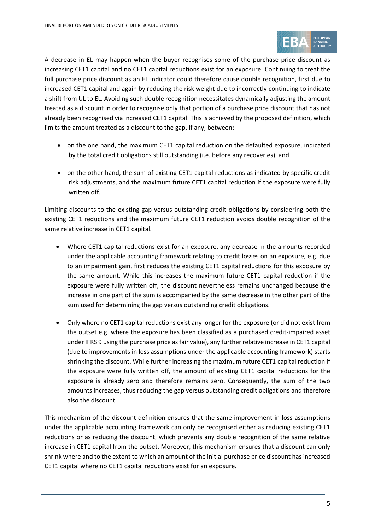

A decrease in EL may happen when the buyer recognises some of the purchase price discount as increasing CET1 capital and no CET1 capital reductions exist for an exposure. Continuing to treat the full purchase price discount as an EL indicator could therefore cause double recognition, first due to increased CET1 capital and again by reducing the risk weight due to incorrectly continuing to indicate a shift from UL to EL. Avoiding such double recognition necessitates dynamically adjusting the amount treated as a discount in order to recognise only that portion of a purchase price discount that has not already been recognised via increased CET1 capital. This is achieved by the proposed definition, which limits the amount treated as a discount to the gap, if any, between:

- on the one hand, the maximum CET1 capital reduction on the defaulted exposure, indicated by the total credit obligations still outstanding (i.e. before any recoveries), and
- on the other hand, the sum of existing CET1 capital reductions as indicated by specific credit risk adjustments, and the maximum future CET1 capital reduction if the exposure were fully written off.

Limiting discounts to the existing gap versus outstanding credit obligations by considering both the existing CET1 reductions and the maximum future CET1 reduction avoids double recognition of the same relative increase in CET1 capital.

- Where CET1 capital reductions exist for an exposure, any decrease in the amounts recorded under the applicable accounting framework relating to credit losses on an exposure, e.g. due to an impairment gain, first reduces the existing CET1 capital reductions for this exposure by the same amount. While this increases the maximum future CET1 capital reduction if the exposure were fully written off, the discount nevertheless remains unchanged because the increase in one part of the sum is accompanied by the same decrease in the other part of the sum used for determining the gap versus outstanding credit obligations.
- Only where no CET1 capital reductions exist any longer for the exposure (or did not exist from the outset e.g. where the exposure has been classified as a purchased credit-impaired asset under IFRS 9 using the purchase price as fair value), any further relative increase in CET1 capital (due to improvements in loss assumptions under the applicable accounting framework) starts shrinking the discount. While further increasing the maximum future CET1 capital reduction if the exposure were fully written off, the amount of existing CET1 capital reductions for the exposure is already zero and therefore remains zero. Consequently, the sum of the two amounts increases, thus reducing the gap versus outstanding credit obligations and therefore also the discount.

This mechanism of the discount definition ensures that the same improvement in loss assumptions under the applicable accounting framework can only be recognised either as reducing existing CET1 reductions or as reducing the discount, which prevents any double recognition of the same relative increase in CET1 capital from the outset. Moreover, this mechanism ensures that a discount can only shrink where and to the extent to which an amount of the initial purchase price discount has increased CET1 capital where no CET1 capital reductions exist for an exposure.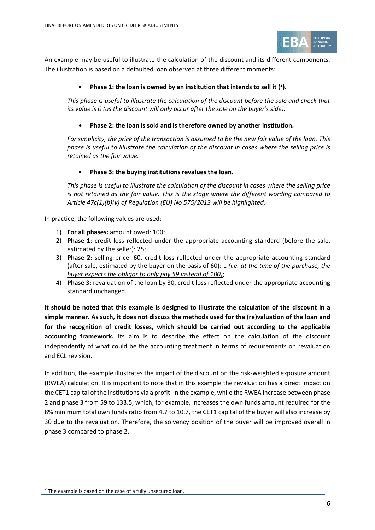

An example may be useful to illustrate the calculation of the discount and its different components. The illustration is based on a defaulted loan observed at three different moments:

#### • **Phase 1: the loan is owned by an institution that intends to sell it ( 2 ).**

*This phase is useful to illustrate the calculation of the discount before the sale and check that its value is 0 (as the discount will only occur after the sale on the buyer's side).*

#### • **Phase 2: the loan is sold and is therefore owned by another institution.**

*For simplicity, the price of the transaction is assumed to be the new fair value of the loan. This phase is useful to illustrate the calculation of the discount in cases where the selling price is retained as the fair value.*

#### • **Phase 3: the buying institutions revalues the loan.**

*This phase is useful to illustrate the calculation of the discount in cases where the selling price is not retained as the fair value. This is the stage where the different wording compared to Article 47c(1)(b)(v) of Regulation (EU) No 575/2013 will be highlighted.*

In practice, the following values are used:

- 1) **For all phases:** amount owed: 100;
- 2) **Phase 1**: credit loss reflected under the appropriate accounting standard (before the sale, estimated by the seller): 25;
- 3) **Phase 2:** selling price: 60, credit loss reflected under the appropriate accounting standard (after sale, estimated by the buyer on the basis of 60): 1 *(i.e. at the time of the purchase, the buyer expects the obligor to only pay 59 instead of 100)*;
- 4) **Phase 3:** revaluation of the loan by 30, credit loss reflected under the appropriate accounting standard unchanged.

**It should be noted that this example is designed to illustrate the calculation of the discount in a simple manner. As such, it does not discuss the methods used for the (re)valuation of the loan and for the recognition of credit losses, which should be carried out according to the applicable accounting framework.** Its aim is to describe the effect on the calculation of the discount independently of what could be the accounting treatment in terms of requirements on revaluation and ECL revision.

In addition, the example illustrates the impact of the discount on the risk-weighted exposure amount (RWEA) calculation. It is important to note that in this example the revaluation has a direct impact on the CET1 capital of the institutions via a profit. In the example, while the RWEA increase between phase 2 and phase 3 from 59 to 133.5, which, for example, increases the own funds amount required for the 8% minimum total own funds ratio from 4.7 to 10.7, the CET1 capital of the buyer will also increase by 30 due to the revaluation. Therefore, the solvency position of the buyer will be improved overall in phase 3 compared to phase 2.

 $2$  The example is based on the case of a fully unsecured loan.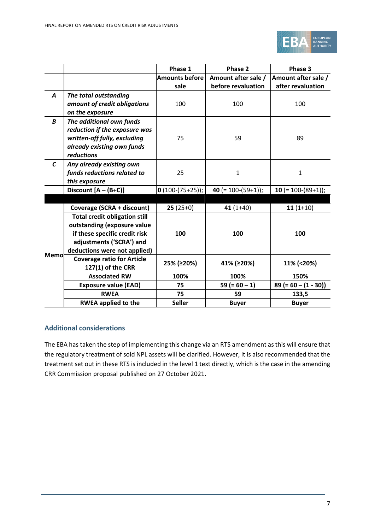

|               |                                      | Phase 1               | Phase 2              | Phase 3                |
|---------------|--------------------------------------|-----------------------|----------------------|------------------------|
|               |                                      | <b>Amounts before</b> | Amount after sale /  | Amount after sale /    |
|               |                                      | sale                  | before revaluation   | after revaluation      |
| A             | The total outstanding                |                       |                      |                        |
|               | amount of credit obligations         | 100                   | 100                  | 100                    |
|               | on the exposure                      |                       |                      |                        |
| B             | The additional own funds             |                       |                      |                        |
|               | reduction if the exposure was        |                       |                      |                        |
|               | written-off fully, excluding         | 75                    | 59                   | 89                     |
|               | already existing own funds           |                       |                      |                        |
|               | reductions                           |                       |                      |                        |
| $\mathcal{C}$ | Any already existing own             |                       |                      |                        |
|               | funds reductions related to          | 25                    | $\mathbf 1$          | $\mathbf{1}$           |
|               | this exposure                        |                       |                      |                        |
|               | Discount $[A - (B+C)]$               | $0(100-(75+25))$ ;    | 40 $(= 100-(59+1));$ | 10 $(= 100-(89+1));$   |
|               |                                      |                       |                      |                        |
|               | Coverage (SCRA + discount)           | $25(25+0)$            | $41(1+40)$           | $11(1+10)$             |
|               | <b>Total credit obligation still</b> |                       |                      |                        |
|               | outstanding (exposure value          |                       |                      |                        |
|               | if these specific credit risk        | 100                   | 100                  | 100                    |
|               | adjustments ('SCRA') and             |                       |                      |                        |
| Memol         | deductions were not applied)         |                       |                      |                        |
|               | <b>Coverage ratio for Article</b>    | 25% (≥20%)            | 41% (≥20%)           | 11% (<20%)             |
|               | 127(1) of the CRR                    |                       |                      |                        |
|               | <b>Associated RW</b>                 | 100%                  | 100%                 | 150%                   |
|               | <b>Exposure value (EAD)</b>          | 75                    | $59 (= 60 - 1)$      | $89 (= 60 - (1 - 30))$ |
|               | <b>RWEA</b>                          | 75                    | 59                   | 133,5                  |
|               | <b>RWEA applied to the</b>           | <b>Seller</b>         | <b>Buyer</b>         | <b>Buyer</b>           |

#### **Additional considerations**

The EBA has taken the step of implementing this change via an RTS amendment as this will ensure that the regulatory treatment of sold NPL assets will be clarified. However, it is also recommended that the treatment set out in these RTS is included in the level 1 text directly, which is the case in the amending CRR Commission proposal published on 27 October 2021.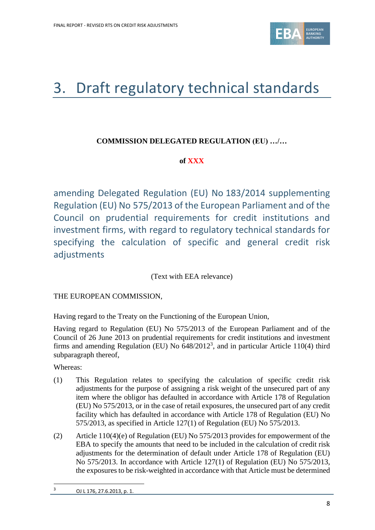

# <span id="page-7-0"></span>3. Draft regulatory technical standards

### **COMMISSION DELEGATED REGULATION (EU) …/…**

### **of XXX**

amending Delegated Regulation (EU) No 183/2014 supplementing Regulation (EU) No 575/2013 of the European Parliament and of the Council on prudential requirements for credit institutions and investment firms, with regard to regulatory technical standards for specifying the calculation of specific and general credit risk adjustments

(Text with EEA relevance)

THE EUROPEAN COMMISSION,

Having regard to the Treaty on the Functioning of the European Union,

Having regard to Regulation (EU) No 575/2013 of the European Parliament and of the Council of 26 June 2013 on prudential requirements for credit institutions and investment firms and amending Regulation (EU) No  $648/2012^3$ , and in particular Article 110(4) third subparagraph thereof,

Whereas:

- (1) This Regulation relates to specifying the calculation of specific credit risk adjustments for the purpose of assigning a risk weight of the unsecured part of any item where the obligor has defaulted in accordance with Article 178 of Regulation (EU) No 575/2013, or in the case of retail exposures, the unsecured part of any credit facility which has defaulted in accordance with Article 178 of Regulation (EU) No 575/2013, as specified in Article 127(1) of Regulation (EU) No 575/2013.
- (2) Article 110(4)(e) of Regulation (EU) No 575/2013 provides for empowerment of the EBA to specify the amounts that need to be included in the calculation of credit risk adjustments for the determination of default under Article 178 of Regulation (EU) No 575/2013. In accordance with Article 127(1) of Regulation (EU) No 575/2013, the exposures to be risk-weighted in accordance with that Article must be determined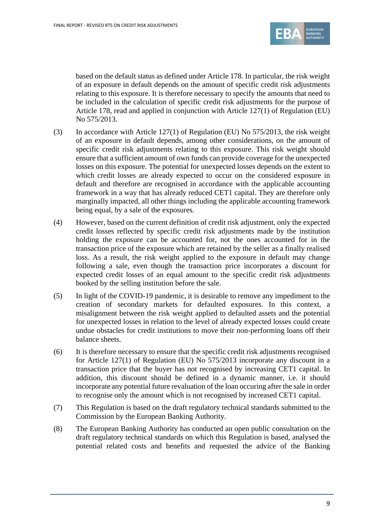

based on the default status as defined under Article 178. In particular, the risk weight of an exposure in default depends on the amount of specific credit risk adjustments relating to this exposure. It is therefore necessary to specify the amounts that need to be included in the calculation of specific credit risk adjustments for the purpose of Article 178, read and applied in conjunction with Article 127(1) of Regulation (EU) No 575/2013.

- (3) In accordance with Article 127(1) of Regulation (EU) No 575/2013, the risk weight of an exposure in default depends, among other considerations, on the amount of specific credit risk adjustments relating to this exposure. This risk weight should ensure that a sufficient amount of own funds can provide coverage for the unexpected losses on this exposure. The potential for unexpected losses depends on the extent to which credit losses are already expected to occur on the considered exposure in default and therefore are recognised in accordance with the applicable accounting framework in a way that has already reduced CET1 capital. They are therefore only marginally impacted, all other things including the applicable accounting framework being equal, by a sale of the exposures.
- (4) However, based on the current definition of credit risk adjustment, only the expected credit losses reflected by specific credit risk adjustments made by the institution holding the exposure can be accounted for, not the ones accounted for in the transaction price of the exposure which are retained by the seller as a finally realised loss. As a result, the risk weight applied to the exposure in default may change following a sale, even though the transaction price incorporates a discount for expected credit losses of an equal amount to the specific credit risk adjustments booked by the selling institution before the sale.
- (5) In light of the COVID-19 pandemic, it is desirable to remove any impediment to the creation of secondary markets for defaulted exposures. In this context, a misalignment between the risk weight applied to defaulted assets and the potential for unexpected losses in relation to the level of already expected losses could create undue obstacles for credit institutions to move their non-performing loans off their balance sheets.
- (6) It is therefore necessary to ensure that the specific credit risk adjustments recognised for Article 127(1) of Regulation (EU) No 575/2013 incorporate any discount in a transaction price that the buyer has not recognised by increasing CET1 capital. In addition, this discount should be defined in a dynamic manner, i.e. it should incorporate any potential future revaluation of the loan occuring after the sale in order to recognise only the amount which is not recognised by increased CET1 capital.
- (7) This Regulation is based on the draft regulatory technical standards submitted to the Commission by the European Banking Authority.
- (8) The European Banking Authority has conducted an open public consultation on the draft regulatory technical standards on which this Regulation is based, analysed the potential related costs and benefits and requested the advice of the Banking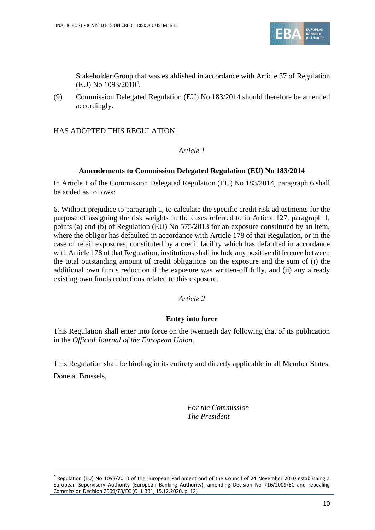

Stakeholder Group that was established in accordance with Article 37 of Regulation (EU) No 1093/2010<sup>4</sup> .

(9) Commission Delegated Regulation (EU) No 183/2014 should therefore be amended accordingly.

HAS ADOPTED THIS REGULATION:

#### *Article 1*

#### **Amendements to Commission Delegated Regulation (EU) No 183/2014**

In Article 1 of the Commission Delegated Regulation (EU) No 183/2014, paragraph 6 shall be added as follows:

6. Without prejudice to paragraph 1, to calculate the specific credit risk adjustments for the purpose of assigning the risk weights in the cases referred to in Article 127, paragraph 1, points (a) and (b) of Regulation (EU) No 575/2013 for an exposure constituted by an item, where the obligor has defaulted in accordance with Article 178 of that Regulation, or in the case of retail exposures, constituted by a credit facility which has defaulted in accordance with Article 178 of that Regulation, institutions shall include any positive difference between the total outstanding amount of credit obligations on the exposure and the sum of (i) the additional own funds reduction if the exposure was written-off fully, and (ii) any already existing own funds reductions related to this exposure.

#### *Article 2*

#### **Entry into force**

This Regulation shall enter into force on the twentieth day following that of its publication in the *Official Journal of the European Union*.

This Regulation shall be binding in its entirety and directly applicable in all Member States. Done at Brussels,

> *For the Commission The President*

<sup>&</sup>lt;sup>4</sup> Regulation (EU) No 1093/2010 of the European Parliament and of the Council of 24 November 2010 establishing a European Supervisory Authority (European Banking Authority), amending Decision No 716/2009/EC and repealing Commission Decision 2009/78/EC (OJ L 331, 15.12.2020, p. 12)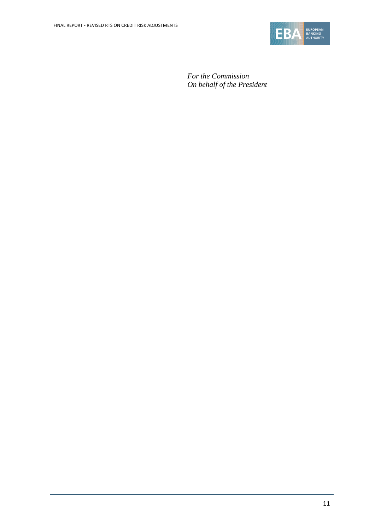

*For the Commission On behalf of the President*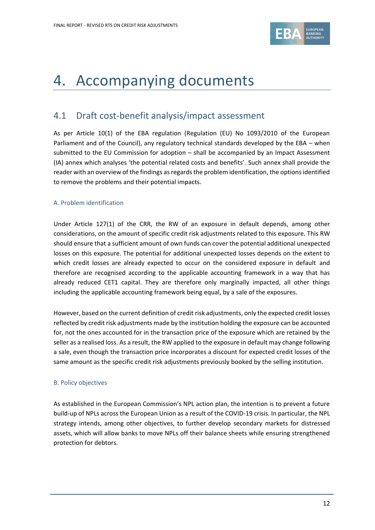

## <span id="page-11-0"></span>4. Accompanying documents

## <span id="page-11-1"></span>4.1 Draft cost-benefit analysis/impact assessment

As per Article 10(1) of the EBA regulation (Regulation (EU) No 1093/2010 of the European Parliament and of the Council), any regulatory technical standards developed by the EBA – when submitted to the EU Commission for adoption – shall be accompanied by an Impact Assessment (IA) annex which analyses 'the potential related costs and benefits'. Such annex shall provide the reader with an overview of the findings as regards the problem identification, the options identified to remove the problems and their potential impacts.

#### A. Problem identification

Under Article 127(1) of the CRR, the RW of an exposure in default depends, among other considerations, on the amount of specific credit risk adjustments related to this exposure. This RW should ensure that a sufficient amount of own funds can cover the potential additional unexpected losses on this exposure. The potential for additional unexpected losses depends on the extent to which credit losses are already expected to occur on the considered exposure in default and therefore are recognised according to the applicable accounting framework in a way that has already reduced CET1 capital. They are therefore only marginally impacted, all other things including the applicable accounting framework being equal, by a sale of the exposures.

However, based on the current definition of credit risk adjustments, only the expected credit losses reflected by credit risk adjustments made by the institution holding the exposure can be accounted for, not the ones accounted for in the transaction price of the exposure which are retained by the seller as a realised loss. As a result, the RW applied to the exposure in default may change following a sale, even though the transaction price incorporates a discount for expected credit losses of the same amount as the specific credit risk adjustments previously booked by the selling institution.

#### B. Policy objectives

As established in the European Commission's NPL action plan, the intention is to prevent a future build-up of NPLs across the European Union as a result of the COVID-19 crisis. In particular, the NPL strategy intends, among other objectives, to further develop secondary markets for distressed assets, which will allow banks to move NPLs off their balance sheets while ensuring strengthened protection for debtors.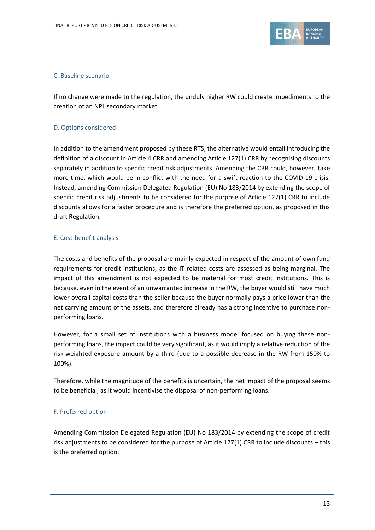

#### C. Baseline scenario

If no change were made to the regulation, the unduly higher RW could create impediments to the creation of an NPL secondary market.

#### D. Options considered

In addition to the amendment proposed by these RTS, the alternative would entail introducing the definition of a discount in Article 4 CRR and amending Article 127(1) CRR by recognising discounts separately in addition to specific credit risk adjustments. Amending the CRR could, however, take more time, which would be in conflict with the need for a swift reaction to the COVID-19 crisis. Instead, amending Commission Delegated Regulation (EU) No 183/2014 by extending the scope of specific credit risk adjustments to be considered for the purpose of Article 127(1) CRR to include discounts allows for a faster procedure and is therefore the preferred option, as proposed in this draft Regulation.

#### E. Cost-benefit analysis

The costs and benefits of the proposal are mainly expected in respect of the amount of own fund requirements for credit institutions, as the IT-related costs are assessed as being marginal. The impact of this amendment is not expected to be material for most credit institutions. This is because, even in the event of an unwarranted increase in the RW, the buyer would still have much lower overall capital costs than the seller because the buyer normally pays a price lower than the net carrying amount of the assets, and therefore already has a strong incentive to purchase nonperforming loans.

However, for a small set of institutions with a business model focused on buying these nonperforming loans, the impact could be very significant, as it would imply a relative reduction of the risk-weighted exposure amount by a third (due to a possible decrease in the RW from 150% to 100%).

Therefore, while the magnitude of the benefits is uncertain, the net impact of the proposal seems to be beneficial, as it would incentivise the disposal of non-performing loans.

#### F. Preferred option

Amending Commission Delegated Regulation (EU) No 183/2014 by extending the scope of credit risk adjustments to be considered for the purpose of Article 127(1) CRR to include discounts – this is the preferred option.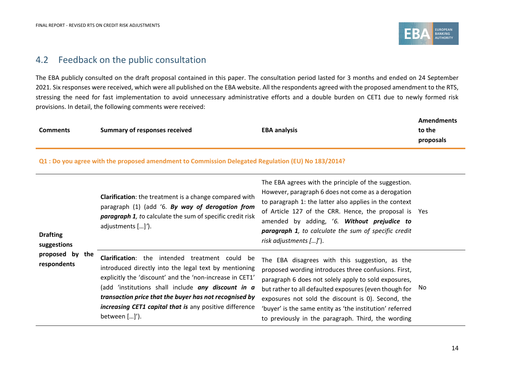

## 4.2 Feedback on the public consultation

The EBA publicly consulted on the draft proposal contained in this paper. The consultation period lasted for 3 months and ended on 24 September 2021. Six responses were received, which were all published on the EBA website. All the respondents agreed with the proposed amendment to the RTS, stressing the need for fast implementation to avoid unnecessary administrative efforts and a double burden on CET1 due to newly formed risk provisions. In detail, the following comments were received:

|                 |                               |                     | Amendments |
|-----------------|-------------------------------|---------------------|------------|
| <b>Comments</b> | Summary of responses received | <b>EBA analysis</b> | to the     |
|                 |                               |                     | proposals  |

**Q1 : Do you agree with the proposed amendment to Commission Delegated Regulation (EU) No 183/2014?**

<span id="page-13-0"></span>

| <b>Drafting</b><br>suggestions | <b>Clarification:</b> the treatment is a change compared with<br>paragraph (1) (add '6. By way of derogation from<br><b>paragraph 1</b> , to calculate the sum of specific credit risk<br>adjustments []').                                                                                                                                                      | The EBA agrees with the principle of the suggestion.<br>However, paragraph 6 does not come as a derogation<br>to paragraph 1: the latter also applies in the context<br>of Article 127 of the CRR. Hence, the proposal is Yes<br>amended by adding, '6. Without prejudice to<br>paragraph 1, to calculate the sum of specific credit<br>risk adjustments $\left[ \ldots \right]$ ").             |     |
|--------------------------------|------------------------------------------------------------------------------------------------------------------------------------------------------------------------------------------------------------------------------------------------------------------------------------------------------------------------------------------------------------------|--------------------------------------------------------------------------------------------------------------------------------------------------------------------------------------------------------------------------------------------------------------------------------------------------------------------------------------------------------------------------------------------------|-----|
| proposed by the<br>respondents | Clarification: the intended treatment could be<br>introduced directly into the legal text by mentioning<br>explicitly the 'discount' and the 'non-increase in CET1'<br>(add 'institutions shall include any discount in a<br>transaction price that the buyer has not recognised by<br>increasing CET1 capital that is any positive difference<br>between $[]'.$ | The EBA disagrees with this suggestion, as the<br>proposed wording introduces three confusions. First,<br>paragraph 6 does not solely apply to sold exposures,<br>but rather to all defaulted exposures (even though for<br>exposures not sold the discount is 0). Second, the<br>'buyer' is the same entity as 'the institution' referred<br>to previously in the paragraph. Third, the wording | No. |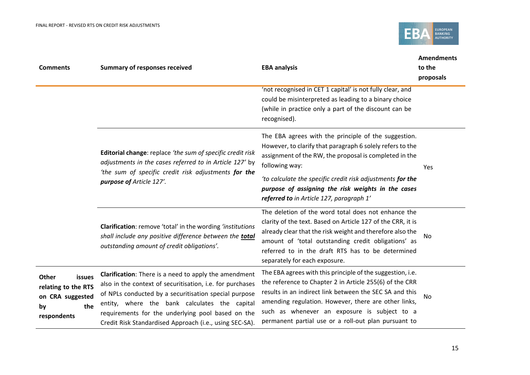

| <b>Comments</b>                                                                        | <b>Summary of responses received</b>                                                                                                                                                                                                                                                                                                         | <b>EBA analysis</b>                                                                                                                                                                                                                                                                                                                              | <b>Amendments</b><br>to the<br>proposals |
|----------------------------------------------------------------------------------------|----------------------------------------------------------------------------------------------------------------------------------------------------------------------------------------------------------------------------------------------------------------------------------------------------------------------------------------------|--------------------------------------------------------------------------------------------------------------------------------------------------------------------------------------------------------------------------------------------------------------------------------------------------------------------------------------------------|------------------------------------------|
|                                                                                        |                                                                                                                                                                                                                                                                                                                                              | 'not recognised in CET 1 capital' is not fully clear, and<br>could be misinterpreted as leading to a binary choice<br>(while in practice only a part of the discount can be<br>recognised).                                                                                                                                                      |                                          |
|                                                                                        | Editorial change: replace 'the sum of specific credit risk<br>adjustments in the cases referred to in Article 127' by<br>'the sum of specific credit risk adjustments for the<br>purpose of Article 127'.                                                                                                                                    | The EBA agrees with the principle of the suggestion.<br>However, to clarify that paragraph 6 solely refers to the<br>assignment of the RW, the proposal is completed in the<br>following way:                                                                                                                                                    | Yes                                      |
|                                                                                        |                                                                                                                                                                                                                                                                                                                                              | 'to calculate the specific credit risk adjustments for the<br>purpose of assigning the risk weights in the cases<br>referred to in Article 127, paragraph 1'                                                                                                                                                                                     |                                          |
|                                                                                        | Clarification: remove 'total' in the wording 'institutions<br>shall include any positive difference between the total<br>outstanding amount of credit obligations'.                                                                                                                                                                          | The deletion of the word total does not enhance the<br>clarity of the text. Based on Article 127 of the CRR, it is<br>already clear that the risk weight and therefore also the<br>amount of 'total outstanding credit obligations' as<br>referred to in the draft RTS has to be determined<br>separately for each exposure.                     | <b>No</b>                                |
| Other<br>issues<br>relating to the RTS<br>on CRA suggested<br>the<br>by<br>respondents | Clarification: There is a need to apply the amendment<br>also in the context of securitisation, i.e. for purchases<br>of NPLs conducted by a securitisation special purpose<br>entity, where the bank calculates the capital<br>requirements for the underlying pool based on the<br>Credit Risk Standardised Approach (i.e., using SEC-SA). | The EBA agrees with this principle of the suggestion, i.e.<br>the reference to Chapter 2 in Article 255(6) of the CRR<br>results in an indirect link between the SEC SA and this<br>amending regulation. However, there are other links,<br>such as whenever an exposure is subject to a<br>permanent partial use or a roll-out plan pursuant to | No                                       |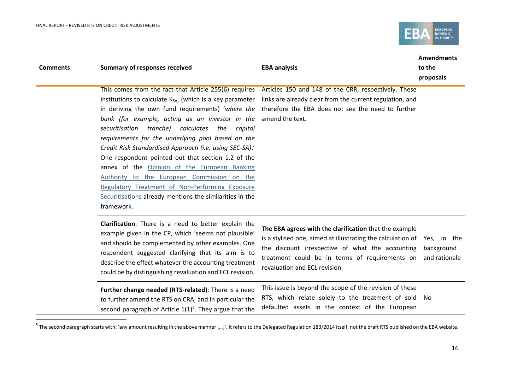

|                 |                                                                                                                                                                                                                                                                                                                                                                                                                                                                                                                                                                                                                                            |                                                                                                                                                                                                                                                                          | <b>Amendments</b>           |
|-----------------|--------------------------------------------------------------------------------------------------------------------------------------------------------------------------------------------------------------------------------------------------------------------------------------------------------------------------------------------------------------------------------------------------------------------------------------------------------------------------------------------------------------------------------------------------------------------------------------------------------------------------------------------|--------------------------------------------------------------------------------------------------------------------------------------------------------------------------------------------------------------------------------------------------------------------------|-----------------------------|
| <b>Comments</b> | <b>Summary of responses received</b>                                                                                                                                                                                                                                                                                                                                                                                                                                                                                                                                                                                                       | <b>EBA analysis</b>                                                                                                                                                                                                                                                      | to the                      |
|                 | institutions to calculate K <sub>SA</sub> , (which is a key parameter<br>in deriving the own fund requirements) 'where the<br>bank (for example, acting as an investor in the<br>tranche) calculates<br>securitisation<br>the<br>capital<br>requirements for the underlying pool based on the<br>Credit Risk Standardised Approach (i.e. using SEC-SA).'<br>One respondent pointed out that section 1.2 of the<br>annex of the Opinion of the European Banking<br>Authority to the European Commission on the<br>Regulatory Treatment of Non-Performing Exposure<br>Securitisations already mentions the similarities in the<br>framework. | This comes from the fact that Article 255(6) requires Articles 150 and 148 of the CRR, respectively. These<br>links are already clear from the current regulation, and<br>therefore the EBA does not see the need to further<br>amend the text.                          | proposals                   |
|                 | Clarification: There is a need to better explain the<br>example given in the CP, which 'seems not plausible'<br>and should be complemented by other examples. One<br>respondent suggested clarifying that its aim is to<br>describe the effect whatever the accounting treatment<br>could be by distinguishing revaluation and ECL revision.                                                                                                                                                                                                                                                                                               | The EBA agrees with the clarification that the example<br>is a stylised one, aimed at illustrating the calculation of Yes, in the<br>the discount irrespective of what the accounting<br>treatment could be in terms of requirements on<br>revaluation and ECL revision. | background<br>and rationale |
|                 | Further change needed (RTS-related): There is a need<br>to further amend the RTS on CRA, and in particular the<br>second paragraph of Article $1(1)^5$ . They argue that the                                                                                                                                                                                                                                                                                                                                                                                                                                                               | This issue is beyond the scope of the revision of these<br>RTS, which relate solely to the treatment of sold No<br>defaulted assets in the context of the European                                                                                                       |                             |

<sup>&</sup>lt;sup>5</sup> The second paragraph starts with: 'any amount resulting in the above manner […]'. It refers to the Delegated Regulation 183/2014 itself, not the draft RTS published on the EBA website.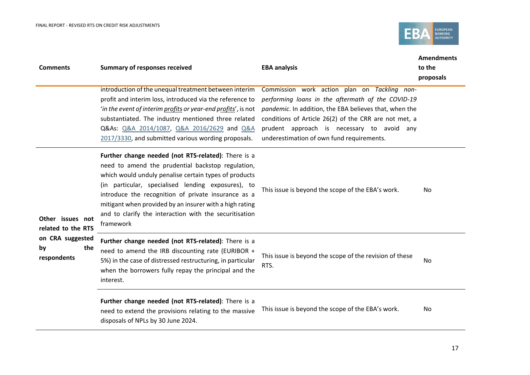

| <b>Comments</b>                              | <b>Summary of responses received</b><br>introduction of the unequal treatment between interim<br>profit and interim loss, introduced via the reference to<br>'in the event of interim profits or year-end profits', is not<br>substantiated. The industry mentioned three related                                                                                                                                | <b>EBA analysis</b><br>Commission work action plan on Tackling non-<br>performing loans in the aftermath of the COVID-19<br>pandemic. In addition, the EBA believes that, when the<br>conditions of Article 26(2) of the CRR are not met, a | <b>Amendments</b><br>to the<br>proposals |
|----------------------------------------------|------------------------------------------------------------------------------------------------------------------------------------------------------------------------------------------------------------------------------------------------------------------------------------------------------------------------------------------------------------------------------------------------------------------|---------------------------------------------------------------------------------------------------------------------------------------------------------------------------------------------------------------------------------------------|------------------------------------------|
|                                              | Q&As: Q&A 2014/1087, Q&A 2016/2629 and Q&A<br>2017/3330, and submitted various wording proposals.                                                                                                                                                                                                                                                                                                                | prudent approach is necessary to avoid any<br>underestimation of own fund requirements.                                                                                                                                                     |                                          |
| Other issues not<br>related to the RTS       | Further change needed (not RTS-related): There is a<br>need to amend the prudential backstop regulation,<br>which would unduly penalise certain types of products<br>(in particular, specialised lending exposures), to<br>introduce the recognition of private insurance as a<br>mitigant when provided by an insurer with a high rating<br>and to clarify the interaction with the securitisation<br>framework | This issue is beyond the scope of the EBA's work.                                                                                                                                                                                           | No.                                      |
| on CRA suggested<br>the<br>by<br>respondents | Further change needed (not RTS-related): There is a<br>need to amend the IRB discounting rate (EURIBOR +<br>5%) in the case of distressed restructuring, in particular<br>when the borrowers fully repay the principal and the<br>interest.                                                                                                                                                                      | This issue is beyond the scope of the revision of these<br>RTS.                                                                                                                                                                             | No                                       |
|                                              | Further change needed (not RTS-related): There is a<br>need to extend the provisions relating to the massive<br>disposals of NPLs by 30 June 2024.                                                                                                                                                                                                                                                               | This issue is beyond the scope of the EBA's work.                                                                                                                                                                                           | No                                       |